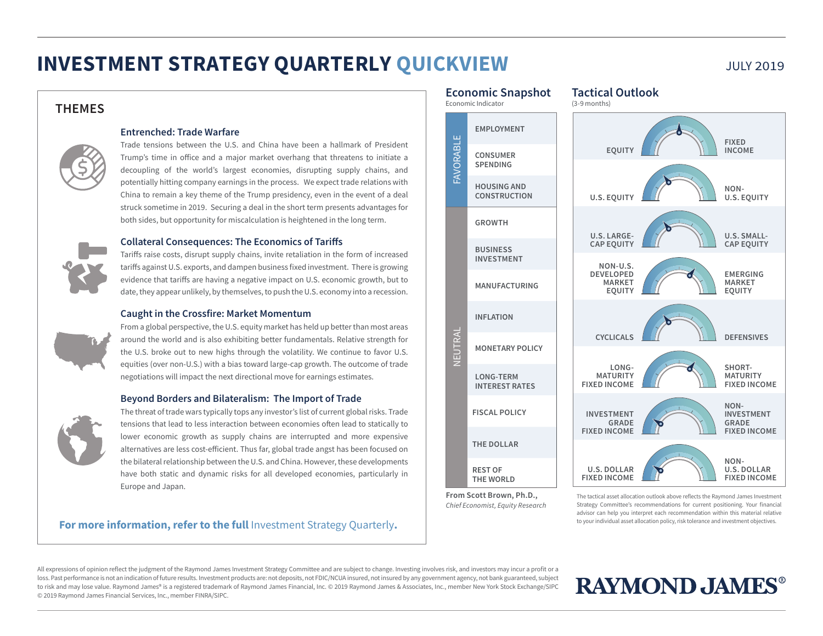# **INVESTMENT STRATEGY QUARTERLY QUICKVIEW** JULY 2019

## **THEMES**



## **Entrenched: Trade Warfare**

Trade tensions between the U.S. and China have been a hallmark of President Trump's time in office and a major market overhang that threatens to initiate a decoupling of the world's largest economies, disrupting supply chains, and potentially hitting company earnings in the process. We expect trade relations with China to remain a key theme of the Trump presidency, even in the event of a deal struck sometime in 2019. Securing a deal in the short term presents advantages for both sides, but opportunity for miscalculation is heightened in the long term.

## **Collateral Consequences: The Economics of Tariffs**

Tariffs raise costs, disrupt supply chains, invite retaliation in the form of increased tariffs against U.S. exports, and dampen business fixed investment. There is growing evidence that tariffs are having a negative impact on U.S. economic growth, but to date, they appear unlikely, by themselves, to push the U.S. economy into a recession.

## **Caught in the Crossfire: Market Momentum**

From a global perspective, the U.S. equity market has held up better than most areas around the world and is also exhibiting better fundamentals. Relative strength for the U.S. broke out to new highs through the volatility. We continue to favor U.S. equities (over non-U.S.) with a bias toward large-cap growth. The outcome of trade negotiations will impact the next directional move for earnings estimates.

#### **Beyond Borders and Bilateralism: The Import of Trade**



The threat of trade wars typically tops any investor's list of current global risks. Trade tensions that lead to less interaction between economies often lead to statically to lower economic growth as supply chains are interrupted and more expensive alternatives are less cost-efficient. Thus far, global trade angst has been focused on the bilateral relationship between the U.S. and China. However, these developments have both static and dynamic risks for all developed economies, particularly in Europe and Japan.

## **For more information, refer to the full** Investment Strategy Quarterly**.**



**From Scott Brown, Ph.D.,** *Chief Economist, Equity Research* The tactical asset allocation outlook above reflects the Raymond James Investment Strategy Committee's recommendations for current positioning. Your financial advisor can help you interpret each recommendation within this material relative to your individual asset allocation policy, risk tolerance and investment objectives.

All expressions of opinion reflect the judgment of the Raymond James Investment Strategy Committee and are subject to change. Investing involves risk, and investors may incur a profit or a loss. Past performance is not an indication of future results. Investment products are: not deposits, not FDIC/NCUA insured, not insured by any government agency, not bank guaranteed, subject to risk and may lose value. Raymond James® is a registered trademark of Raymond James Financial, Inc. © 2019 Raymond James & Associates, Inc., member New York Stock Exchange/SIPC © 2019 Raymond James Financial Services, Inc., member FINRA/SIPC.

# **RAYMOND, JAMES®**